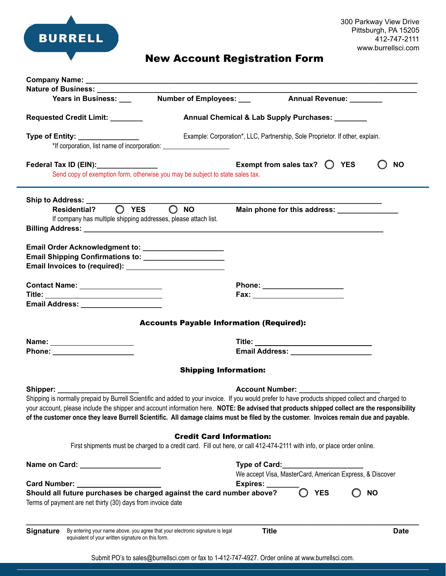

## New Account Registration Form

|                                                                                                                                                                |                                                                                                                         | Annual Revenue: _______                                                                                                                                                                                                                                                                                                                           |
|----------------------------------------------------------------------------------------------------------------------------------------------------------------|-------------------------------------------------------------------------------------------------------------------------|---------------------------------------------------------------------------------------------------------------------------------------------------------------------------------------------------------------------------------------------------------------------------------------------------------------------------------------------------|
|                                                                                                                                                                |                                                                                                                         |                                                                                                                                                                                                                                                                                                                                                   |
| Requested Credit Limit: _______                                                                                                                                | Annual Chemical & Lab Supply Purchases:                                                                                 |                                                                                                                                                                                                                                                                                                                                                   |
| Type of Entity: ________________                                                                                                                               | *If corporation, list name of incorporation: ___________________________________                                        | Example: Corporation*, LLC, Partnership, Sole Proprietor. If other, explain.                                                                                                                                                                                                                                                                      |
| Federal Tax ID (EIN):_______________                                                                                                                           | Send copy of exemption form, otherwise you may be subject to state sales tax.                                           | Exempt from sales tax? $\bigcirc$ YES<br><b>NO</b>                                                                                                                                                                                                                                                                                                |
| Ship to Address: _______                                                                                                                                       |                                                                                                                         |                                                                                                                                                                                                                                                                                                                                                   |
| Residential? $\bigcirc$ YES<br>If company has multiple shipping addresses, please attach list.                                                                 | $\bigcirc$ NO                                                                                                           | Main phone for this address: _______________                                                                                                                                                                                                                                                                                                      |
| Email Order Acknowledgment to: ______________________<br>Email Shipping Confirmations to: _____________________                                                |                                                                                                                         |                                                                                                                                                                                                                                                                                                                                                   |
| Contact Name: _____________________                                                                                                                            |                                                                                                                         | Phone: ______________________                                                                                                                                                                                                                                                                                                                     |
| Title: ______________________________                                                                                                                          |                                                                                                                         |                                                                                                                                                                                                                                                                                                                                                   |
|                                                                                                                                                                |                                                                                                                         |                                                                                                                                                                                                                                                                                                                                                   |
|                                                                                                                                                                | <b>Accounts Payable Information (Required):</b>                                                                         |                                                                                                                                                                                                                                                                                                                                                   |
| Name: ______________________                                                                                                                                   |                                                                                                                         | Title: ______________________________                                                                                                                                                                                                                                                                                                             |
|                                                                                                                                                                |                                                                                                                         |                                                                                                                                                                                                                                                                                                                                                   |
|                                                                                                                                                                |                                                                                                                         |                                                                                                                                                                                                                                                                                                                                                   |
|                                                                                                                                                                | <b>Shipping Information:</b>                                                                                            |                                                                                                                                                                                                                                                                                                                                                   |
|                                                                                                                                                                |                                                                                                                         | Account Number: ________________                                                                                                                                                                                                                                                                                                                  |
|                                                                                                                                                                |                                                                                                                         | Shipping is normally prepaid by Burrell Scientific and added to your invoice. If you would prefer to have products shipped collect and charged to                                                                                                                                                                                                 |
|                                                                                                                                                                | <b>Credit Card Information:</b>                                                                                         |                                                                                                                                                                                                                                                                                                                                                   |
|                                                                                                                                                                | First shipments must be charged to a credit card. Fill out here, or call 412-474-2111 with info, or place order online. |                                                                                                                                                                                                                                                                                                                                                   |
|                                                                                                                                                                |                                                                                                                         | Type of Card: Type of Card:                                                                                                                                                                                                                                                                                                                       |
|                                                                                                                                                                |                                                                                                                         | your account, please include the shipper and account information here. NOTE: Be advised that products shipped collect are the responsibility<br>of the customer once they leave Burrell Scientific. All damage claims must be filed by the customer. Invoices remain due and payable.<br>We accept Visa, MasterCard, American Express, & Discover |
|                                                                                                                                                                | Expires:                                                                                                                |                                                                                                                                                                                                                                                                                                                                                   |
| Shipper: ___________<br>Name on Card: _____________________<br>Card Number: Value of Australian<br>Terms of payment are net thirty (30) days from invoice date | Should all future purchases be charged against the card number above?                                                   | <b>YES</b><br><b>NO</b>                                                                                                                                                                                                                                                                                                                           |